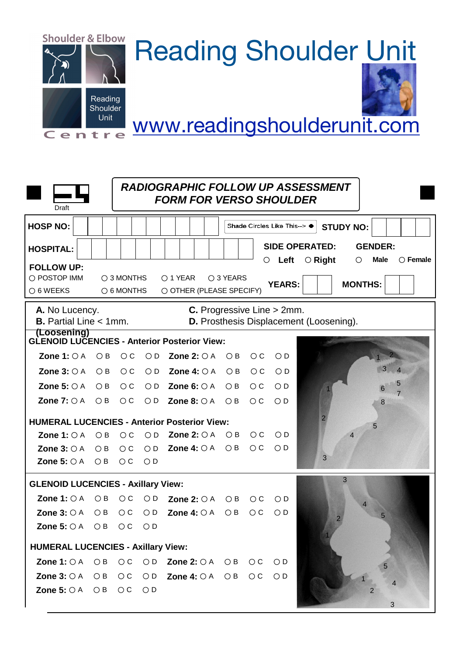

| RADIOGRAPHIC FOLLOW UP ASSESSMENT<br><b>FORM FOR VERSO SHOULDER</b><br><b>Draft</b>                                               |              |                 |              |                                          |              |                 |                              |                                                                                                                  |
|-----------------------------------------------------------------------------------------------------------------------------------|--------------|-----------------|--------------|------------------------------------------|--------------|-----------------|------------------------------|------------------------------------------------------------------------------------------------------------------|
| <b>HOSP NO:</b>                                                                                                                   |              |                 |              |                                          |              |                 | Shade Circles Like This--> ● | <b>STUDY NO:</b>                                                                                                 |
| <b>HOSPITAL:</b>                                                                                                                  |              |                 |              |                                          |              | О               | Left                         | <b>SIDE OPERATED:</b><br><b>GENDER:</b><br>$\circ$ Right<br><b>Male</b><br>$\circ$<br>$\circlearrowright$ Female |
| <b>FOLLOW UP:</b>                                                                                                                 |              |                 |              |                                          |              |                 |                              |                                                                                                                  |
| O POSTOP IMM<br>○ 3 MONTHS<br>O 1 YEAR<br>○ 3 YEARS<br><b>MONTHS:</b><br><b>YEARS:</b>                                            |              |                 |              |                                          |              |                 |                              |                                                                                                                  |
| O OTHER (PLEASE SPECIFY)<br>○ 6 WEEKS<br>O 6 MONTHS                                                                               |              |                 |              |                                          |              |                 |                              |                                                                                                                  |
| <b>C.</b> Progressive Line > 2mm.<br>A. No Lucency.<br><b>B.</b> Partial Line $<$ 1mm.<br>D. Prosthesis Displacement (Loosening). |              |                 |              |                                          |              |                 |                              |                                                                                                                  |
| (Loosening)<br>GLENOID LUCENCIES - Anterior Posterior View:                                                                       |              |                 |              |                                          |              |                 |                              |                                                                                                                  |
| Zone 1: $\bigcirc$ A                                                                                                              | $\bigcirc$ B | $\circ$ c       | $\bigcirc$ D | <b>Zone 2:</b> $\bigcirc$ A              | $\bigcirc$ B | $\circ$ C       | $\bigcirc$ D                 |                                                                                                                  |
| Zone 3: $\bigcirc$ A                                                                                                              | $\bigcirc$ B | $\circ$ c       | $\bigcirc$ D | <b>Zone 4:</b> $\bigcirc$ A              | $\bigcirc$ B | $\circ$ c       | $\bigcirc$ D                 | $\overline{4}$                                                                                                   |
| Zone 5: $\bigcirc$ A $\bigcirc$ B                                                                                                 |              | $\circ$ c       | $\bigcirc$ D | <b>Zone 6:</b> $\bigcirc$ A              | $\bigcirc$ B | $\circ$ c       | $\bigcirc$ D                 | 5                                                                                                                |
| Zone $7:OA$ $OB$                                                                                                                  |              | $\circ$ C       |              | $OD$ Zone 8: $OA$ $OB$                   |              | $\circ$ c       | $\bigcirc$ D                 | $\overline{7}$<br>8                                                                                              |
| <b>HUMERAL LUCENCIES - Anterior Posterior View:</b>                                                                               |              |                 |              |                                          |              |                 |                              |                                                                                                                  |
| Zone 1: $\bigcirc$ A                                                                                                              | $\bigcirc$ B | $\circ$ c       | $\bigcirc$ D | Zone 2: $\bigcirc$ A $\bigcirc$ B        |              | $\circ$ $\circ$ | $\bigcirc$ D                 | 5<br>$\overline{4}$                                                                                              |
| Zone 3: $\bigcirc$ A                                                                                                              | $\bigcirc$ B | $\circ$ C       | $\bigcirc$ D | <b>Zone 4:</b> $\bigcirc$ A $\bigcirc$ B |              | $\circ$ c       | $\bigcirc$ D                 |                                                                                                                  |
| Zone 5: $\bigcirc$ A                                                                                                              | $\bigcirc$ B | $\circ$ $\circ$ | $\bigcirc$ D |                                          |              |                 |                              | 3                                                                                                                |
| 3<br><b>GLENOID LUCENCIES - Axillary View:</b>                                                                                    |              |                 |              |                                          |              |                 |                              |                                                                                                                  |
| Zone 1: $\bigcirc$ A                                                                                                              | $\bigcirc$ B | $\circ$ c       | $\bigcirc$ D | Zone 2: $\bigcirc$ A                     | $\bigcirc$ B | $\circ$ $\circ$ | $\bigcirc$ D                 |                                                                                                                  |
| Zone 3: $\bigcirc$ A                                                                                                              | $\bigcirc$ B | $\circ$ $\circ$ | $\bigcirc$ D | Zone 4: $\bigcirc$ A                     | $\bigcirc$ B | $\circ$ $\circ$ | $\bigcirc$ D                 | 5                                                                                                                |
| Zone 5: $\bigcirc$ A                                                                                                              | $\bigcirc$ B | $\circ$ c       | $\bigcirc$ D |                                          |              |                 |                              |                                                                                                                  |
| <b>HUMERAL LUCENCIES - Axillary View:</b>                                                                                         |              |                 |              |                                          |              |                 |                              |                                                                                                                  |
| Zone 1: $\bigcirc$ A                                                                                                              | $\bigcirc$ B | $\circ$ C       | $\bigcirc$ D | Zone $2: \bigcirc A$ $\bigcirc B$        |              | $\circ$ c       | $\bigcirc$ D                 |                                                                                                                  |
| Zone 3: $\bigcirc$ A                                                                                                              |              |                 |              | $OBOCOD$ Zone 4: $OAOB$                  |              | $\circ$ c       | $\bigcirc$ D                 |                                                                                                                  |
| Zone 5: $\bigcirc A$ $\bigcirc B$ $\bigcirc C$ $\bigcirc D$                                                                       |              |                 |              |                                          |              |                 |                              |                                                                                                                  |